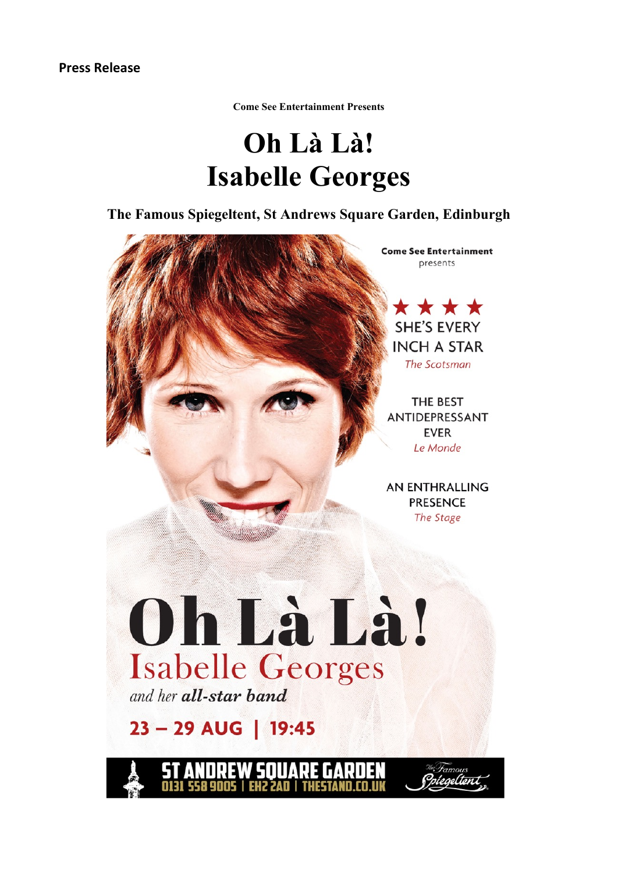**Come See Entertainment Presents**

# **Oh Là Là! Isabelle Georges**

**The Famous Spiegeltent, St Andrews Square Garden, Edinburgh**



**EH2 2AD | THESTAI**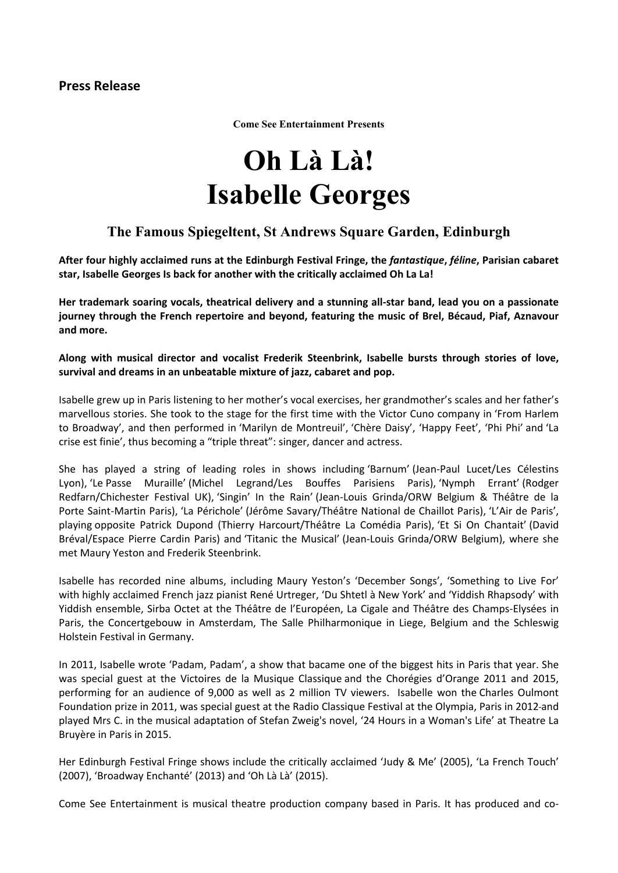**Come See Entertainment Presents**

# **Oh Là Là! Isabelle Georges**

### **The Famous Spiegeltent, St Andrews Square Garden, Edinburgh**

After four highly acclaimed runs at the Edinburgh Festival Fringe, the fantastique, féline, Parisian cabaret **star, Isabelle Georges Is back for another with the critically acclaimed Oh La La!**

**Her trademark soaring vocals, theatrical delivery and a stunning all-star band, lead you on a passionate journey through the French repertoire and beyond, featuring the music of Brel, Bécaud, Piaf, Aznavour and more.**

**Along with musical director and vocalist Frederik Steenbrink, Isabelle bursts through stories of love, survival and dreams in an unbeatable mixture of jazz, cabaret and pop.**

Isabelle grew up in Paris listening to her mother's vocal exercises, her grandmother's scales and her father's marvellous stories. She took to the stage for the first time with the Victor Cuno company in 'From Harlem to Broadway', and then performed in 'Marilyn de Montreuil', 'Chère Daisy', 'Happy Feet', 'Phi Phi' and 'La crise est finie', thus becoming a "triple threat": singer, dancer and actress.

She has played a string of leading roles in shows including 'Barnum' (Jean-Paul Lucet/Les Célestins Lyon), 'Le Passe Muraille' (Michel Legrand/Les Bouffes Parisiens Paris), 'Nymph Errant' (Rodger Redfarn/Chichester Festival UK), 'Singin' In the Rain' (Jean-Louis Grinda/ORW Belgium & Théâtre de la Porte Saint-Martin Paris), 'La Périchole' (Jérôme Savary/Théâtre National de Chaillot Paris), 'L'Air de Paris', playing opposite Patrick Dupond (Thierry Harcourt/Théâtre La Comédia Paris), 'Et Si On Chantait' (David Bréval/Espace Pierre Cardin Paris) and 'Titanic the Musical' (Jean-Louis Grinda/ORW Belgium), where she met Maury Yeston and Frederik Steenbrink.

Isabelle has recorded nine albums, including Maury Yeston's 'December Songs', 'Something to Live For' with highly acclaimed French jazz pianist René Urtreger, 'Du Shtetl à New York' and 'Yiddish Rhapsody' with Yiddish ensemble, Sirba Octet at the Théâtre de l'Européen, La Cigale and Théâtre des Champs-Elysées in Paris, the Concertgebouw in Amsterdam, The Salle Philharmonique in Liege, Belgium and the Schleswig Holstein Festival in Germany.

In 2011, Isabelle wrote 'Padam, Padam', a show that bacame one of the biggest hits in Paris that year. She was special guest at the Victoires de la Musique Classique and the Chorégies d'Orange 2011 and 2015, performing for an audience of 9,000 as well as 2 million TV viewers. Isabelle won the Charles Oulmont Foundation prize in 2011, was special guest at the Radio Classique Festival at the Olympia, Paris in 2012 and played Mrs C. in the musical adaptation of Stefan Zweig's novel, '24 Hours in a Woman's Life' at Theatre La Bruyère in Paris in 2015.

Her Edinburgh Festival Fringe shows include the critically acclaimed 'Judy & Me' (2005), 'La French Touch' (2007), 'Broadway Enchanté' (2013) and 'Oh Là Là' (2015).

Come See Entertainment is musical theatre production company based in Paris. It has produced and co-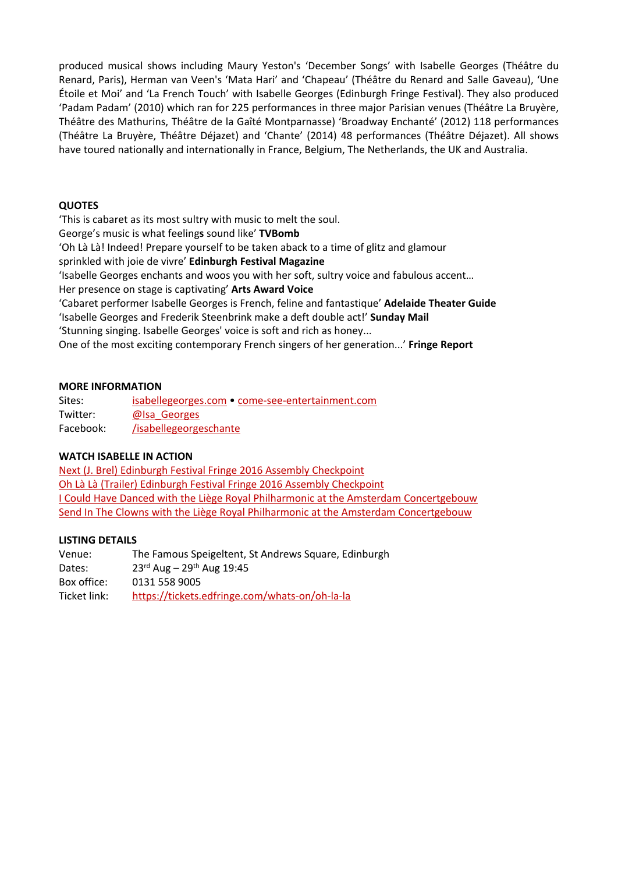produced musical shows including Maury Yeston's 'December Songs' with Isabelle Georges (Théâtre du Renard, Paris), Herman van Veen's 'Mata Hari' and 'Chapeau' (Théâtre du Renard and Salle Gaveau), 'Une Étoile et Moi' and 'La French Touch' with Isabelle Georges (Edinburgh Fringe Festival). They also produced 'Padam Padam' (2010) which ran for 225 performances in three major Parisian venues (Théâtre La Bruyère, Théâtre des Mathurins, Théâtre de la Gaîté Montparnasse) 'Broadway Enchanté' (2012) 118 performances (Théâtre La Bruyère, Théâtre Déjazet) and 'Chante' (2014) 48 performances (Théâtre Déjazet). All shows have toured nationally and internationally in France, Belgium, The Netherlands, the UK and Australia.

#### **QUOTES**

'This is cabaret as its most sultry with music to melt the soul. George's music is what feeling**s** sound like' **TVBomb** 'Oh Là Là! Indeed! Prepare yourself to be taken aback to a time of glitz and glamour sprinkled with joie de vivre' **Edinburgh Festival Magazine** 'Isabelle Georges enchants and woos you with her soft, sultry voice and fabulous accent… Her presence on stage is captivating' **Arts Award Voice** 'Cabaret performer Isabelle Georges is French, feline and fantastique' **Adelaide Theater Guide** 'Isabelle Georges and Frederik Steenbrink make a deft double act!' **Sunday Mail** 'Stunning singing. Isabelle Georges' voice is soft and rich as honey... One of the most exciting contemporary French singers of her generation...' **Fringe Report**

#### **MORE INFORMATION**

| Sites:    | isabellegeorges.com • come-see-entertainment.com |
|-----------|--------------------------------------------------|
| Twitter:  | @lsa Georges                                     |
| Facebook: | /isabellegeorgeschante                           |

#### **WATCH ISABELLE IN ACTION**

Next (J. Brel) Edinburgh Festival Fringe 2016 Assembly [Checkpoint](https://www.youtube.com/watch?v=my-7UCLS_jk) Oh Là Là (Trailer) Edinburgh Festival Fringe 2016 Assembly [Checkpoint](https://www.youtube.com/watch?v=_-b-2QeDiBI) I Could Have Danced with the Liège Royal Philharmonic at the Amsterdam [Concertgebouw](https://www.youtube.com/watch?v=2-rByT60K8s) Send In The Clowns with the Liège Royal Philharmonic at the Amsterdam [Concertgebouw](https://www.youtube.com/watch?v=dpArUVockfI)

#### **LISTING DETAILS**

| Venue:       | The Famous Speigeltent, St Andrews Square, Edinburgh |
|--------------|------------------------------------------------------|
| Dates:       | $23^{rd}$ Aug – $29^{th}$ Aug 19:45                  |
| Box office:  | 0131 558 9005                                        |
| Ticket link: | https://tickets.edfringe.com/whats-on/oh-la-la       |